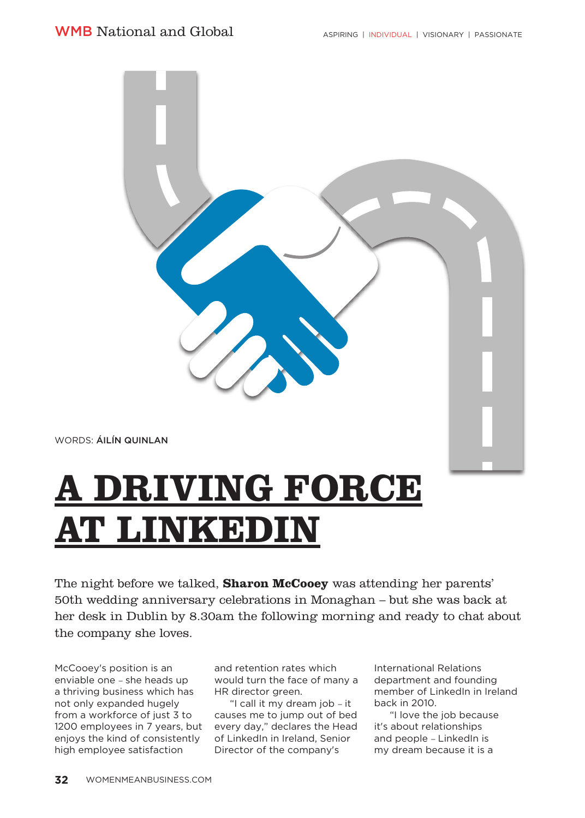

## **A DRIVING FORCE AT LINKEDIN**

The night before we talked, **Sharon McCooey** was attending her parents' 50th wedding anniversary celebrations in Monaghan – but she was back at her desk in Dublin by 8.30am the following morning and ready to chat about the company she loves.

McCooey's position is an enviable one – she heads up a thriving business which has not only expanded hugely from a workforce of just 3 to 1200 employees in 7 years, but every day," declares the Head enjoys the kind of consistently high employee satisfaction

and retention rates which would turn the face of many a HR director green.

"I call it my dream job – it causes me to jump out of bed of LinkedIn in Ireland, Senior Director of the company's

International Relations department and founding member of LinkedIn in Ireland back in 2010.

"I love the job because it's about relationships and people – LinkedIn is my dream because it is a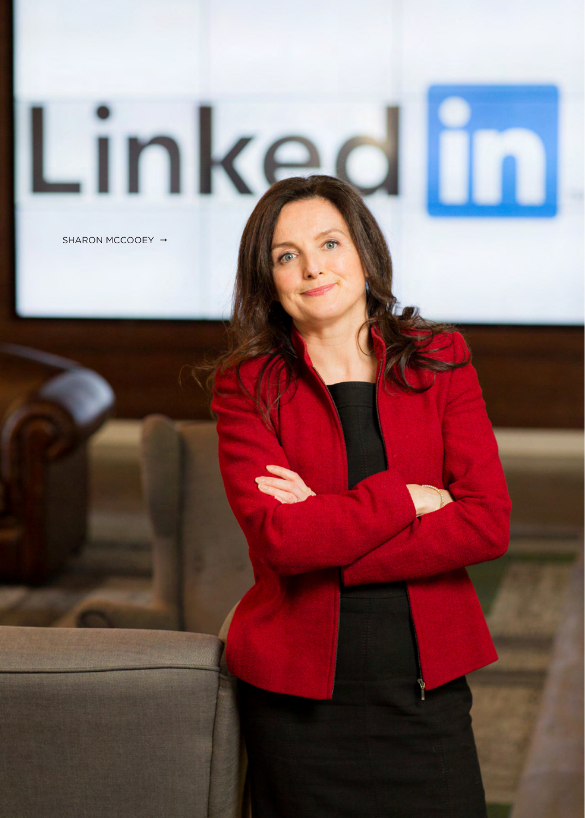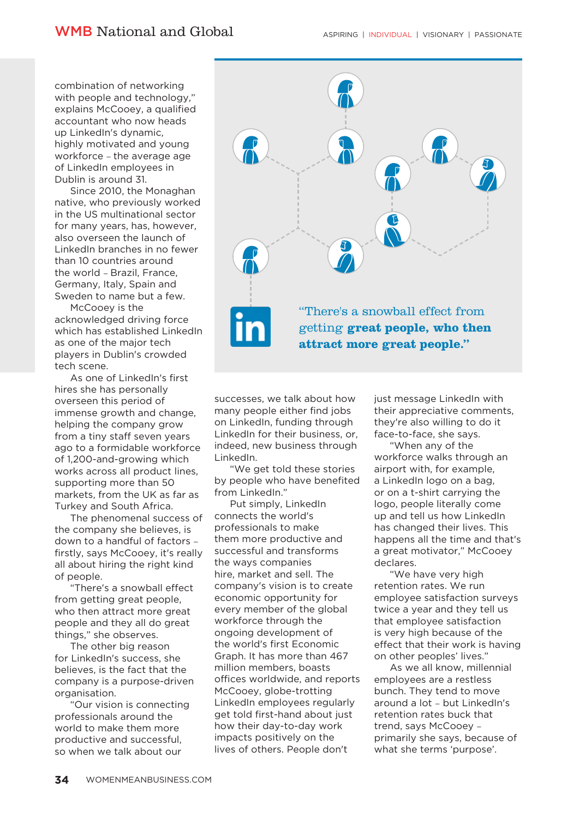combination of networking with people and technology,' explains McCooey, a qualified accountant who now heads up LinkedIn's dynamic, highly motivated and young workforce – the average age of LinkedIn employees in Dublin is around 31.

Since 2010, the Monaghan native, who previously worked in the US multinational sector for many years, has, however, also overseen the launch of LinkedIn branches in no fewer than 10 countries around the world – Brazil, France, Germany, Italy, Spain and Sweden to name but a few.

McCooey is the acknowledged driving force which has established LinkedIn as one of the major tech players in Dublin's crowded tech scene.

As one of LinkedIn's first hires she has personally overseen this period of immense growth and change, helping the company grow from a tiny staff seven years ago to a formidable workforce of 1,200-and-growing which works across all product lines, supporting more than 50 markets, from the UK as far as Turkey and South Africa.

The phenomenal success of the company she believes, is down to a handful of factors – firstly, says McCooey, it's really all about hiring the right kind of people.

There's a snowball effect from getting great people, who then attract more great people and they all do great things," she observes.

The other big reason for LinkedIn's success, she believes, is the fact that the company is a purpose-driven organisation.

"Our vision is connecting professionals around the world to make them more productive and successful, so when we talk about our



successes, we talk about how many people either find jobs on LinkedIn, funding through LinkedIn for their business, or, indeed, new business through LinkedIn.

"We get told these stories by people who have benefited from LinkedIn."

Put simply, LinkedIn connects the world's professionals to make them more productive and successful and transforms the ways companies hire, market and sell. The company's vision is to create economic opportunity for every member of the global workforce through the ongoing development of the world's first Economic Graph. It has more than 467 million members, boasts offices worldwide, and reports McCooey, globe-trotting LinkedIn employees regularly get told first-hand about just how their day-to-day work impacts positively on the lives of others. People don't

just message LinkedIn with their appreciative comments, they're also willing to do it face-to-face, she says.

'When any of the workforce walks through an airport with, for example, a LinkedIn logo on a bag, or on a t-shirt carrying the logo, people literally come up and tell us how LinkedIn has changed their lives. This happens all the time and that's a great motivator," McCooey declares.

"We have very high retention rates. We run employee satisfaction surveys twice a year and they tell us that employee satisfaction is very high because of the effect that their work is having on other peoples' lives."

As we all know, millennial employees are a restless bunch. They tend to move around a lot – but LinkedIn's retention rates buck that trend, says McCooey – primarily she says, because of what she terms 'purpose'.